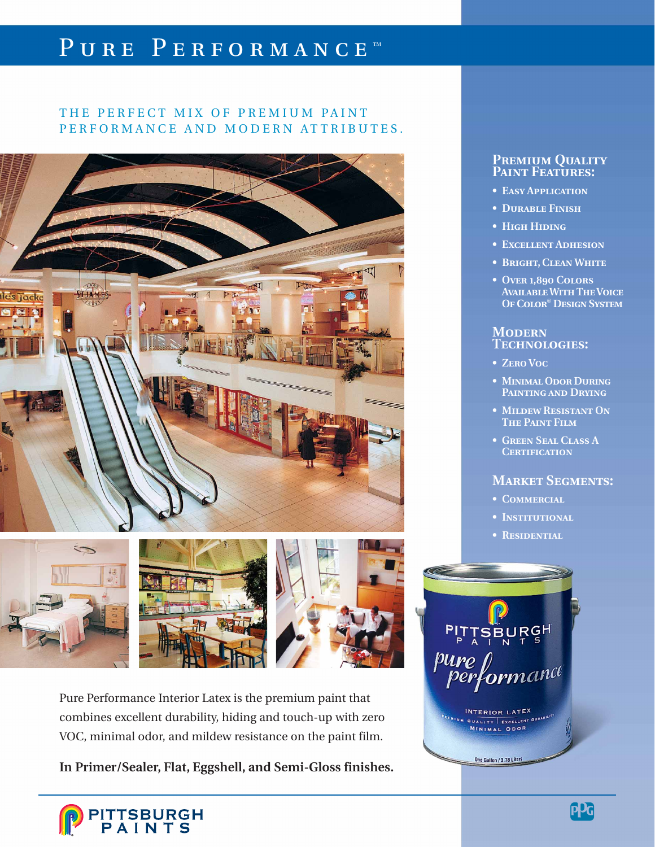# PURE PERFORMANCE™

# THE PERFECT MIX OF PREMIUM PAINT PERFORMANCE AND MODERN ATTRIBUTES.



Pure Performance Interior Latex is the premium paint that combines excellent durability, hiding and touch-up with zero VOC, minimal odor, and mildew resistance on the paint film.

**In Primer/Sealer, Flat, Eggshell, and Semi-Gloss finishes.**

### P**REMIUM QUALITY Paint Features:**

- **• Easy Application**
- **• Durable Finish**
- **High Hiding**
- **Excellent Adhesion**
- **Bright, Clean White**
- **Over 1,890 Colors Available With The Voice Of Color**® **Design System**

### **Modern Technologies:**

- **• Zero Voc**
- **• Minimal Odor During Painting and Drying**
- **• Mildew Resistant On The Paint Film**
- **Green Seal Class A Certification**

## **Market Segments:**

- **• Commercial**
- **• Institutional**
- **• Residential**



INTERIOR LATEX QUALITY EXCELLENT P

One Gallon / 3.78 Liters

**ITTSBURGH<br>PAINTS**